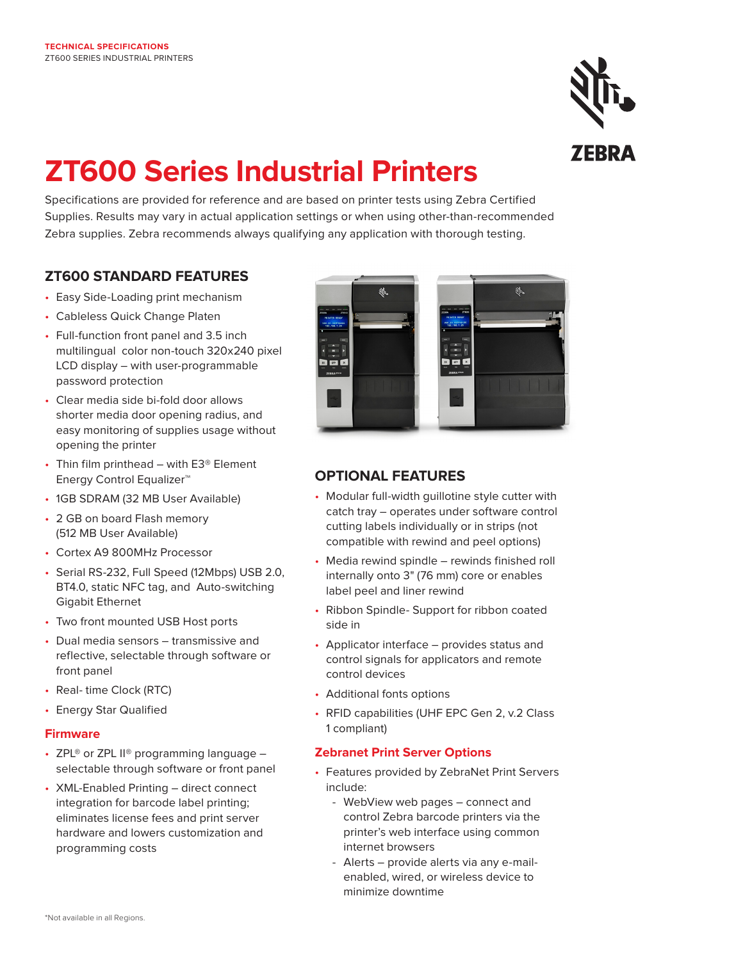

# **ZT600 Series Industrial Printers**

Specifications are provided for reference and are based on printer tests using Zebra Certified Supplies. Results may vary in actual application settings or when using other-than-recommended Zebra supplies. Zebra recommends always qualifying any application with thorough testing.

# **ZT600 STANDARD FEATURES**

- Easy Side-Loading print mechanism
- Cableless Quick Change Platen
- Full-function front panel and 3.5 inch multilingual color non-touch 320x240 pixel LCD display – with user-programmable password protection
- Clear media side bi-fold door allows shorter media door opening radius, and easy monitoring of supplies usage without opening the printer
- Thin film printhead with E3® Element Energy Control Equalizer™
- 1GB SDRAM (32 MB User Available)
- 2 GB on board Flash memory (512 MB User Available)
- Cortex A9 800MHz Processor
- Serial RS-232, Full Speed (12Mbps) USB 2.0, BT4.0, static NFC tag, and Auto-switching Gigabit Ethernet
- Two front mounted USB Host ports
- Dual media sensors transmissive and reflective, selectable through software or front panel
- Real-time Clock (RTC)
- Energy Star Qualified

#### **Firmware**

- ZPL® or ZPL  $II$ <sup>®</sup> programming language  $$ selectable through software or front panel
- XML-Enabled Printing direct connect integration for barcode label printing; eliminates license fees and print server hardware and lowers customization and programming costs



# **OPTIONAL FEATURES**

- Modular full-width guillotine style cutter with catch tray – operates under software control cutting labels individually or in strips (not compatible with rewind and peel options)
- Media rewind spindle rewinds finished roll internally onto 3" (76 mm) core or enables label peel and liner rewind
- Ribbon Spindle- Support for ribbon coated side in
- Applicator interface provides status and control signals for applicators and remote control devices
- Additional fonts options
- RFID capabilities (UHF EPC Gen 2, v.2 Class 1 compliant)

#### **Zebranet Print Server Options**

- Features provided by ZebraNet Print Servers include:
	- WebView web pages connect and control Zebra barcode printers via the printer's web interface using common internet browsers
	- Alerts provide alerts via any e-mail enabled, wired, or wireless device to minimize downtime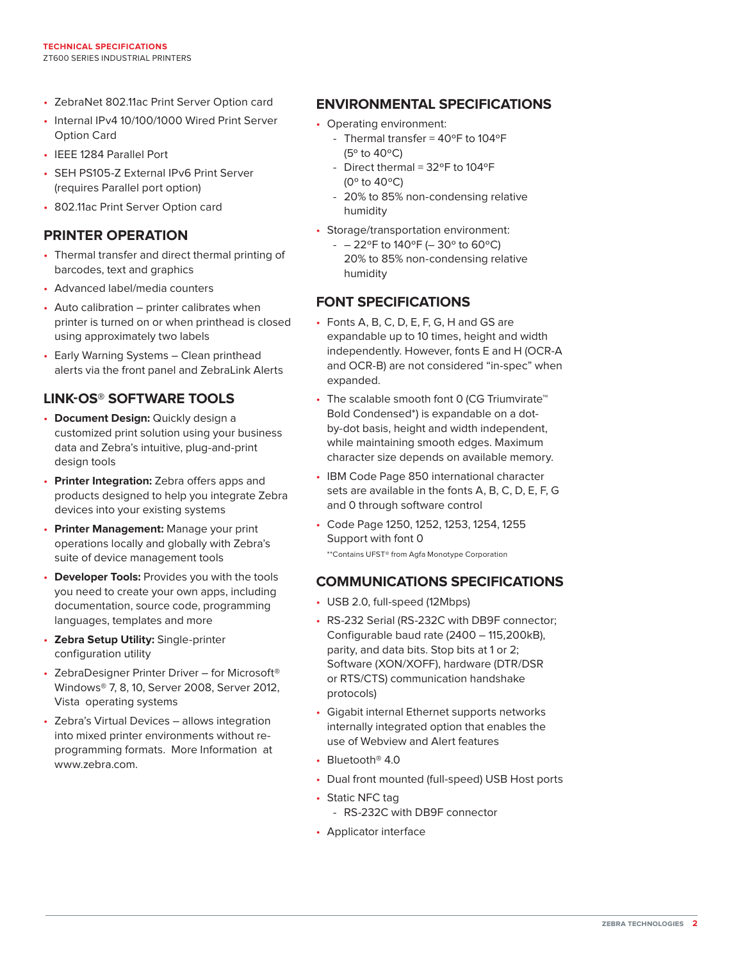- ZebraNet 802.11ac Print Server Option card
- Internal IPv4 10/100/1000 Wired Print Server Option Card
- IEEE 1284 Parallel Port
- SEH PS105-Z External IPv6 Print Server (requires Parallel port option)
- 802.11ac Print Server Option card

### **PRINTER OPERATION**

- Thermal transfer and direct thermal printing of barcodes, text and graphics
- Advanced label/media counters
- Auto calibration printer calibrates when printer is turned on or when printhead is closed using approximately two labels
- Early Warning Systems Clean printhead alerts via the front panel and ZebraLink Alerts

## **LINK-OS® SOFTWARE TOOLS**

- **Document Design:** Quickly design a customized print solution using your business data and Zebra's intuitive, plug-and-print design tools
- **Printer Integration:** Zebra offers apps and products designed to help you integrate Zebra devices into your existing systems
- **Printer Management:** Manage your print operations locally and globally with Zebra's suite of device management tools
- **Developer Tools:** Provides you with the tools you need to create your own apps, including documentation, source code, programming languages, templates and more
- **Zebra Setup Utility:** Single-printer configuration utility
- ZebraDesigner Printer Driver for Microsoft® Windows® 7, 8, 10, Server 2008, Server 2012, Vista operating systems
- Zebra's Virtual Devices allows integration into mixed printer environments without reprogramming formats. More Information at www.zebra.com.

## **ENVIRONMENTAL SPECIFICATIONS**

- Operating environment:
	- Thermal transfer =  $40^{\circ}$ F to  $104^{\circ}$ F (5º to 40ºC)
	- Direct thermal =  $32^{\circ}$ F to  $104^{\circ}$ F (0º to 40ºC)
	- 20% to 85% non-condensing relative humidity
- Storage/transportation environment:
	- $-$  22°F to 140°F (-30° to 60°C) 20% to 85% non-condensing relative humidity

## **FONT SPECIFICATIONS**

- Fonts A, B, C, D, E, F, G, H and GS are expandable up to 10 times, height and width independently. However, fonts E and H (OCR-A and OCR-B) are not considered "in-spec" when expanded.
- The scalable smooth font 0 (CG Triumvirate<sup>™</sup> Bold Condensed\*) is expandable on a dotby-dot basis, height and width independent, while maintaining smooth edges. Maximum character size depends on available memory.
- IBM Code Page 850 international character sets are available in the fonts A, B, C, D, E, F, G and 0 through software control
- Code Page 1250, 1252, 1253, 1254, 1255 Support with font 0 \*\*Contains UFST® from Agfa Monotype Corporation

## **COMMUNICATIONS SPECIFICATIONS**

- USB 2.0, full-speed (12Mbps)
- RS-232 Serial (RS-232C with DB9F connector; Configurable baud rate (2400 – 115,200kB), parity, and data bits. Stop bits at 1 or 2; Software (XON/XOFF), hardware (DTR/DSR or RTS/CTS) communication handshake protocols)
- Gigabit internal Ethernet supports networks internally integrated option that enables the use of Webview and Alert features
- $\cdot$  Bluetooth<sup>®</sup> 4.0
- Dual front mounted (full-speed) USB Host ports
- Static NFC tag
	- RS-232C with DB9F connector
- Applicator interface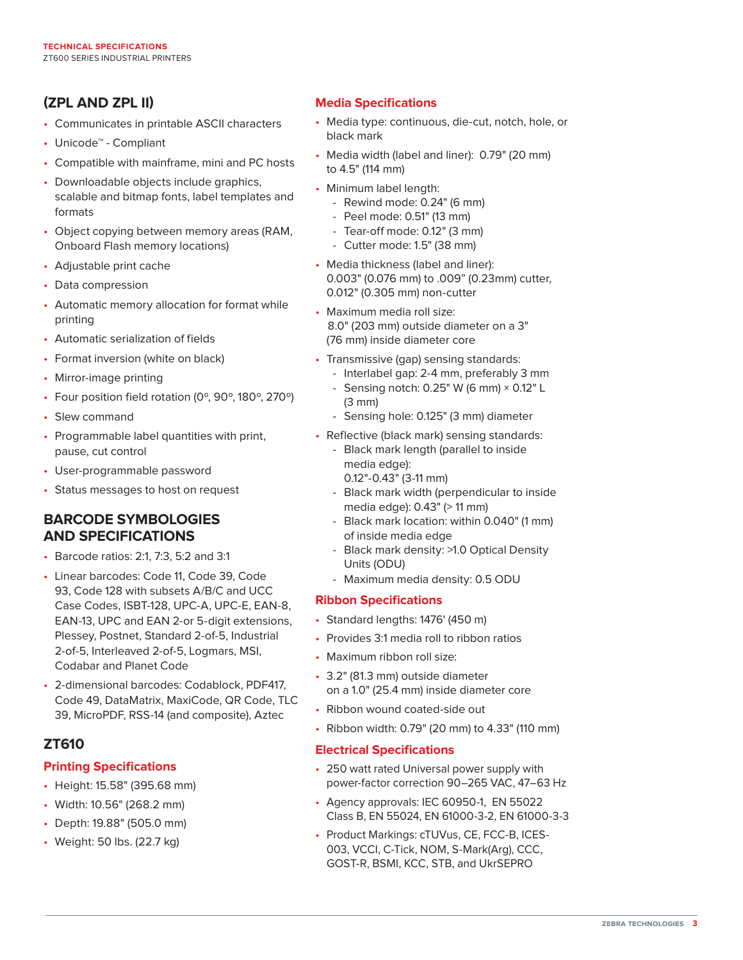# **(ZPL AND ZPL II)**

- Communicates in printable ASCII characters
- Unicode™ Compliant
- Compatible with mainframe, mini and PC hosts
- Downloadable objects include graphics, scalable and bitmap fonts, label templates and formats
- Object copying between memory areas (RAM, Onboard Flash memory locations)
- Adjustable print cache
- Data compression
- Automatic memory allocation for format while printing
- Automatic serialization of fields
- Format inversion (white on black)
- Mirror-image printing
- Four position field rotation (0º, 90º, 180º, 270º)
- Slew command
- Programmable label quantities with print, pause, cut control
- User-programmable password
- Status messages to host on request

### **BARCODE SYMBOLOGIES AND SPECIFICATIONS**

- Barcode ratios: 2:1, 7:3, 5:2 and 3:1
- Linear barcodes: Code 11, Code 39, Code 93, Code 128 with subsets A/B/C and UCC Case Codes, ISBT-128, UPC-A, UPC-E, EAN-8, EAN-13, UPC and EAN 2-or 5-digit extensions, Plessey, Postnet, Standard 2-of-5, Industrial 2-of-5, Interleaved 2-of-5, Logmars, MSI, Codabar and Planet Code
- 2-dimensional barcodes: Codablock, PDF417, Code 49, DataMatrix, MaxiCode, QR Code, TLC 39, MicroPDF, RSS-14 (and composite), Aztec

## **ZT610**

## **Printing Specifications**

- Height: 15.58" (395.68 mm)
- Width: 10.56" (268.2 mm)
- Depth: 19.88" (505.0 mm)
- Weight: 50 lbs. (22.7 kg)

#### **Media Specifications**

- Media type: continuous, die-cut, notch, hole, or black mark
- Media width (label and liner): 0.79" (20 mm) to 4.5" (114 mm)
- Minimum label length:
	- Rewind mode: 0.24" (6 mm)
	- Peel mode: 0.51" (13 mm)
	- Tear-off mode: 0.12" (3 mm)
	- Cutter mode: 1.5" (38 mm)
- Media thickness (label and liner): 0.003" (0.076 mm) to .009" (0.23mm) cutter, 0.012" (0.305 mm) non-cutter
- Maximum media roll size: 8.0" (203 mm) outside diameter on a 3" (76 mm) inside diameter core
- Transmissive (gap) sensing standards:
	- Interlabel gap: 2-4 mm, preferably 3 mm - Sensing notch:  $0.25$ " W (6 mm)  $\times$  0.12" L
		- (3 mm)
	- Sensing hole: 0.125" (3 mm) diameter
- Reflective (black mark) sensing standards:
	- Black mark length (parallel to inside media edge):
		- 0.12"-0.43" (3-11 mm)
	- Black mark width (perpendicular to inside media edge): 0.43" (> 11 mm)
	- Black mark location: within 0.040" (1 mm) of inside media edge
	- Black mark density: >1.0 Optical Density Units (ODU)
	- Maximum media density: 0.5 ODU

#### **Ribbon Specifications**

- Standard lengths: 1476' (450 m)
- Provides 3:1 media roll to ribbon ratios
- Maximum ribbon roll size:
- 3.2" (81.3 mm) outside diameter on a 1.0" (25.4 mm) inside diameter core
- Ribbon wound coated-side out
- Ribbon width: 0.79" (20 mm) to 4.33" (110 mm)

#### **Electrical Specifications**

- 250 watt rated Universal power supply with power-factor correction 90–265 VAC, 47–63 Hz
- Agency approvals: IEC 60950-1, EN 55022 Class B, EN 55024, EN 61000-3-2, EN 61000-3-3
- Product Markings: cTUVus, CE, FCC-B, ICES-003, VCCI, C-Tick, NOM, S-Mark(Arg), CCC, GOST-R, BSMI, KCC, STB, and UkrSEPRO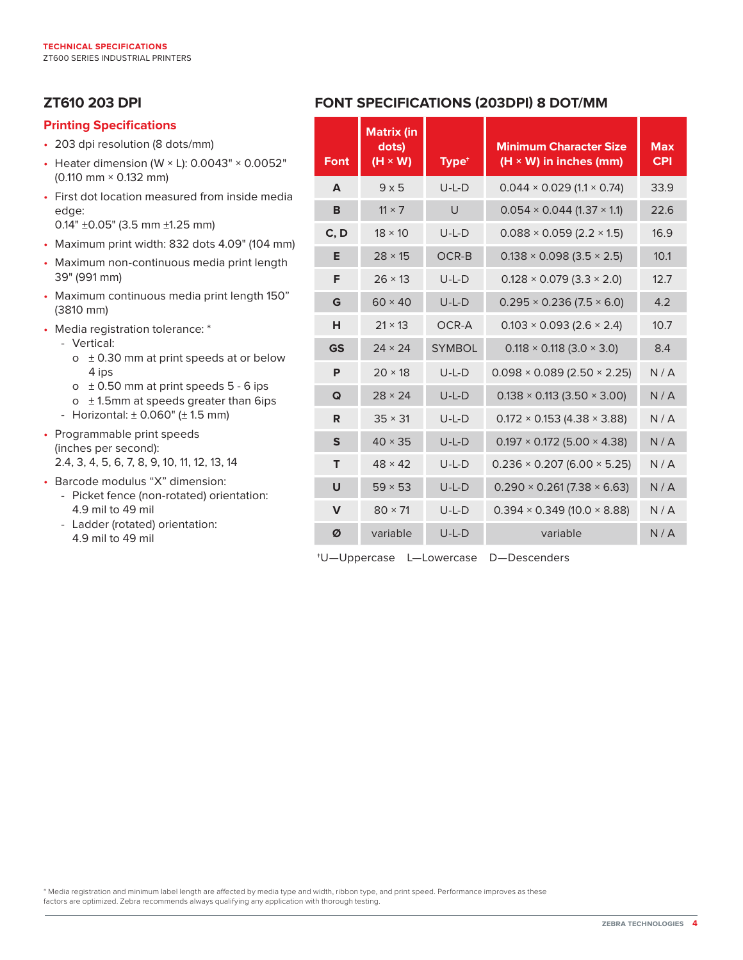## **ZT610 203 DPI**

#### **Printing Specifications**

- 203 dpi resolution (8 dots/mm)
- Heater dimension (W  $\times$  L): 0.0043"  $\times$  0.0052" (0.110 mm × 0.132 mm)
- First dot location measured from inside media edge: 0.14" ±0.05" (3.5 mm ±1.25 mm)
- Maximum print width: 832 dots 4.09" (104 mm)
- Maximum non-continuous media print length 39" (991 mm)
- Maximum continuous media print length 150" (3810 mm)
- Media registration tolerance: \*
	- Vertical:
		- $\circ$  ± 0.30 mm at print speeds at or below 4 ips
		- $\circ$  ± 0.50 mm at print speeds 5 6 ips
		- $o$   $\pm$  1.5mm at speeds greater than 6ips
	- Horizontal:  $\pm$  0.060" ( $\pm$  1.5 mm)
- Programmable print speeds (inches per second): 2.4, 3, 4, 5, 6, 7, 8, 9, 10, 11, 12, 13, 14
- Barcode modulus "X" dimension:
	- Picket fence (non-rotated) orientation: 4.9 mil to 49 mil
	- Ladder (rotated) orientation: 4.9 mil to 49 mil

# **FONT SPECIFICATIONS (203DPI) 8 DOT/MM**

| <b>Font</b>  | <b>Matrix (in</b><br>dots)<br>$(H \times W)$ | Type <sup>+</sup> | <b>Minimum Character Size</b><br>$(H \times W)$ in inches (mm) | <b>Max</b><br><b>CPI</b> |
|--------------|----------------------------------------------|-------------------|----------------------------------------------------------------|--------------------------|
| A            | $9 \times 5$                                 | $U-L-D$           | $0.044 \times 0.029$ (1.1 $\times$ 0.74)                       | 33.9                     |
| B            | $11 \times 7$                                | $\cup$            | $0.054 \times 0.044$ (1.37 $\times$ 1.1)                       | 22.6                     |
| C, D         | $18 \times 10$                               | $U-L-D$           | $0.088 \times 0.059$ (2.2 $\times$ 1.5)                        | 16.9                     |
| E            | $28 \times 15$                               | OCR-B             | $0.138 \times 0.098$ (3.5 $\times$ 2.5)                        | 10.1                     |
| F            | $26 \times 13$                               | $U-L-D$           | $0.128 \times 0.079$ (3.3 $\times$ 2.0)                        | 12.7                     |
| G            | $60 \times 40$                               | $U-L-D$           | $0.295 \times 0.236$ (7.5 $\times$ 6.0)                        | 4.2                      |
| н            | $21 \times 13$                               | OCR-A             | $0.103 \times 0.093$ (2.6 $\times$ 2.4)                        | 10.7                     |
| <b>GS</b>    | $24 \times 24$                               | <b>SYMBOL</b>     | $0.118 \times 0.118$ (3.0 $\times$ 3.0)                        | 8.4                      |
| P            | $20 \times 18$                               | $U-L-D$           | $0.098 \times 0.089$ (2.50 $\times$ 2.25)                      | N/A                      |
| Q            | $28 \times 24$                               | $U-L-D$           | $0.138 \times 0.113$ (3.50 $\times$ 3.00)                      | N/A                      |
| R            | $35 \times 31$                               | $U-L-D$           | $0.172 \times 0.153$ (4.38 $\times$ 3.88)                      | N/A                      |
| $\mathsf{s}$ | $40 \times 35$                               | $U-L-D$           | $0.197 \times 0.172$ (5.00 $\times$ 4.38)                      | N/A                      |
| T            | $48 \times 42$                               | $U-L-D$           | $0.236 \times 0.207$ (6.00 $\times$ 5.25)                      | N/A                      |
| $\cup$       | $59 \times 53$                               | $U-L-D$           | $0.290 \times 0.261 (7.38 \times 6.63)$                        | N/A                      |
| $\mathbf v$  | $80 \times 71$                               | $U-L-D$           | $0.394 \times 0.349$ (10.0 $\times$ 8.88)                      | N/A                      |
| Ø            | variable                                     | $U-L-D$           | variable                                                       | N/A                      |

†U—Uppercase L—Lowercase D—Descenders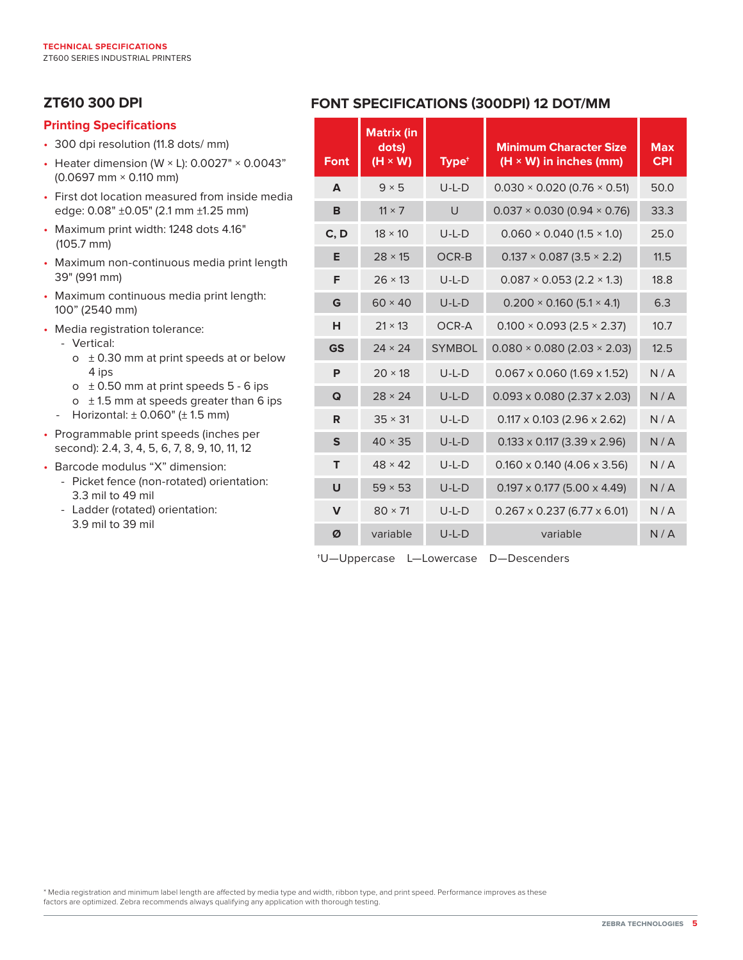# **ZT610 300 DPI**

#### **Printing Specifications**

- 300 dpi resolution (11.8 dots/ mm)
- Heater dimension (W  $\times$  L): 0.0027"  $\times$  0.0043" (0.0697 mm × 0.110 mm)
- First dot location measured from inside media edge: 0.08" ±0.05" (2.1 mm ±1.25 mm)
- Maximum print width: 1248 dots 4.16" (105.7 mm)
- Maximum non-continuous media print length 39" (991 mm)
- Maximum continuous media print length: 100" (2540 mm)
- Media registration tolerance:
	- Vertical:
		- $\circ$  ± 0.30 mm at print speeds at or below 4 ips
		- $\circ$  ± 0.50 mm at print speeds 5 6 ips
		- $\circ$  ± 1.5 mm at speeds greater than 6 ips
	- Horizontal:  $\pm$  0.060" ( $\pm$  1.5 mm)
- Programmable print speeds (inches per second): 2.4, 3, 4, 5, 6, 7, 8, 9, 10, 11, 12
- Barcode modulus "X" dimension:
	- Picket fence (non-rotated) orientation: 3.3 mil to 49 mil
	- Ladder (rotated) orientation: 3.9 mil to 39 mil

## **FONT SPECIFICATIONS (300DPI) 12 DOT/MM**

| <b>Font</b>  | <b>Matrix (in</b><br>dots)<br>$(H \times W)$ | Type <sup>+</sup> | <b>Minimum Character Size</b><br>$(H \times W)$ in inches (mm) | <b>Max</b><br><b>CPI</b> |
|--------------|----------------------------------------------|-------------------|----------------------------------------------------------------|--------------------------|
| A            | $9 \times 5$                                 | $U-L-D$           | $0.030 \times 0.020$ (0.76 $\times$ 0.51)                      | 50.0                     |
| B            | $11 \times 7$                                | $\cup$            | $0.037 \times 0.030$ (0.94 $\times$ 0.76)                      | 33.3                     |
| C, D         | $18 \times 10$                               | $U-L-D$           | $0.060 \times 0.040$ (1.5 $\times$ 1.0)                        | 25.0                     |
| Е            | $28 \times 15$                               | OCR-B             | $0.137 \times 0.087$ (3.5 $\times$ 2.2)                        | 11.5                     |
| F            | $26 \times 13$                               | $U-L-D$           | $0.087 \times 0.053$ (2.2 $\times$ 1.3)                        | 18.8                     |
| G            | $60 \times 40$                               | $U-L-D$           | $0.200 \times 0.160$ (5.1 $\times$ 4.1)                        | 6.3                      |
| н            | $21 \times 13$                               | OCR-A             | $0.100 \times 0.093$ (2.5 $\times$ 2.37)                       | 10.7                     |
| <b>GS</b>    | $24 \times 24$                               | <b>SYMBOL</b>     | $0.080 \times 0.080$ (2.03 $\times$ 2.03)                      | 12.5                     |
| P            | $20 \times 18$                               | $U-L-D$           | $0.067 \times 0.060$ (1.69 x 1.52)                             | N/A                      |
| Q            | $28 \times 24$                               | $U-L-D$           | $0.093 \times 0.080$ (2.37 $\times$ 2.03)                      | N/A                      |
| R            | $35 \times 31$                               | $U-L-D$           | $0.117 \times 0.103$ (2.96 $\times$ 2.62)                      | N/A                      |
| S            | $40 \times 35$                               | $U-L-D$           | $0.133 \times 0.117$ (3.39 $\times$ 2.96)                      | N/A                      |
| т            | $48 \times 42$                               | $U-L-D$           | $0.160 \times 0.140$ (4.06 x 3.56)                             | N/A                      |
| $\cup$       | $59 \times 53$                               | $U-L-D$           | $0.197 \times 0.177$ (5.00 $\times$ 4.49)                      | N/A                      |
| $\mathsf{V}$ | $80 \times 71$                               | $U-L-D$           | $0.267 \times 0.237$ (6.77 $\times$ 6.01)                      | N/A                      |
| Ø            | variable                                     | $U-L-D$           | variable                                                       | N/A                      |

†U—Uppercase L—Lowercase D—Descenders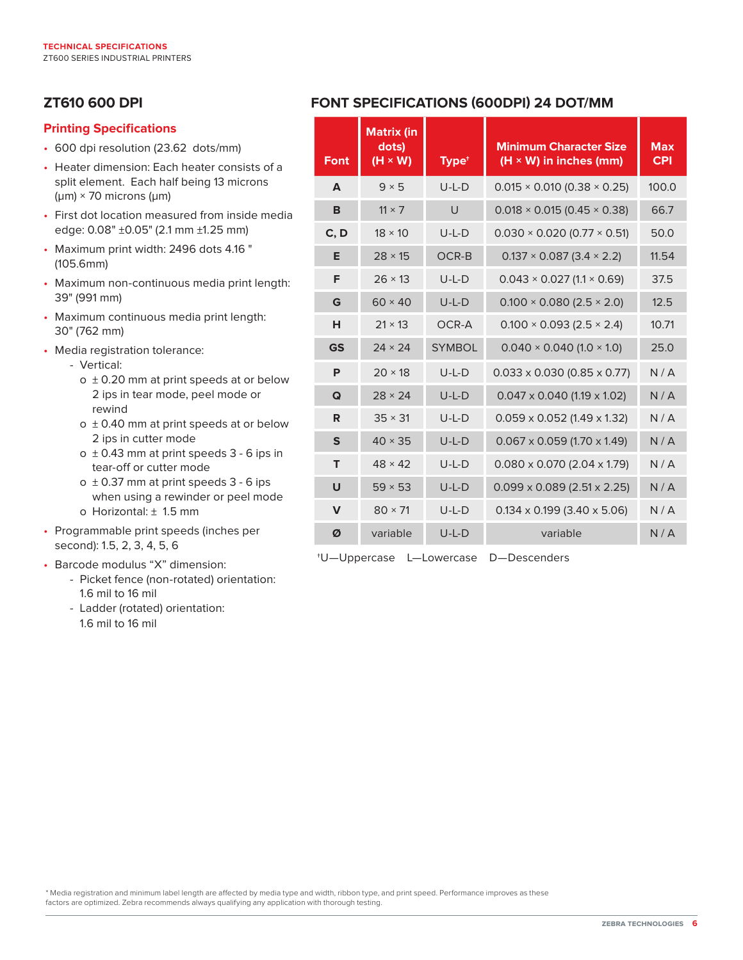# **ZT610 600 DPI**

### **Printing Specifications**

- 600 dpi resolution (23.62 dots/mm)
- Heater dimension: Each heater consists of a split element. Each half being 13 microns (μm) × 70 microns (μm)
- First dot location measured from inside media edge: 0.08" ±0.05" (2.1 mm ±1.25 mm)
- Maximum print width: 2496 dots 4.16 " (105.6mm)
- Maximum non-continuous media print length: 39" (991 mm)
- Maximum continuous media print length: 30" (762 mm)
- Media registration tolerance:
	- Vertical:
		- o ± 0.20 mm at print speeds at or below 2 ips in tear mode, peel mode or rewind
		- o ± 0.40 mm at print speeds at or below 2 ips in cutter mode
		- o ± 0.43 mm at print speeds 3 6 ips in tear-off or cutter mode
		- $o \pm 0.37$  mm at print speeds  $3 6$  ips when using a rewinder or peel mode o Horizontal: ± 1.5 mm
- Programmable print speeds (inches per second): 1.5, 2, 3, 4, 5, 6
- Barcode modulus "X" dimension:
	- Picket fence (non-rotated) orientation: 1.6 mil to 16 mil
	- Ladder (rotated) orientation: 1.6 mil to 16 mil

# **FONT SPECIFICATIONS (600DPI) 24 DOT/MM**

| <b>Font</b> | <b>Matrix (in</b><br>dots)<br>$(H \times W)$ | Type <sup>+</sup> | <b>Minimum Character Size</b><br>$(H \times W)$ in inches (mm) | <b>Max</b><br><b>CPI</b> |
|-------------|----------------------------------------------|-------------------|----------------------------------------------------------------|--------------------------|
| A           | $9 \times 5$                                 | $U-L-D$           | $0.015 \times 0.010$ (0.38 $\times$ 0.25)                      | 100.0                    |
| B           | $11 \times 7$                                | $\cup$            | $0.018 \times 0.015$ (0.45 $\times$ 0.38)                      | 66.7                     |
| C, D        | $18 \times 10$                               | $U-L-D$           | $0.030 \times 0.020$ (0.77 $\times$ 0.51)                      | 50.0                     |
| E           | $28 \times 15$                               | OCR-B             | $0.137 \times 0.087$ (3.4 $\times$ 2.2)                        | 11.54                    |
| F           | $26 \times 13$                               | $U-I-D$           | $0.043 \times 0.027$ (1.1 $\times$ 0.69)                       | 37.5                     |
| G           | $60 \times 40$                               | $U-L-D$           | $0.100 \times 0.080$ (2.5 $\times$ 2.0)                        | 12.5                     |
| н           | $21 \times 13$                               | OCR-A             | $0.100 \times 0.093$ (2.5 $\times$ 2.4)                        | 10.71                    |
| <b>GS</b>   | $24 \times 24$                               | <b>SYMBOL</b>     | $0.040 \times 0.040$ (1.0 $\times$ 1.0)                        | 25.0                     |
| P           | $20 \times 18$                               | $U-L-D$           | $0.033 \times 0.030$ (0.85 $\times$ 0.77)                      | N/A                      |
| Q           | $28 \times 24$                               | $U-L-D$           | $0.047 \times 0.040$ (1.19 $\times$ 1.02)                      | N/A                      |
| R           | $35 \times 31$                               | $U-L-D$           | $0.059 \times 0.052$ (1.49 $\times$ 1.32)                      | N/A                      |
| $\mathbf S$ | $40 \times 35$                               | $U-L-D$           | $0.067 \times 0.059$ (1.70 x 1.49)                             | N/A                      |
| T           | $48 \times 42$                               | $U-L-D$           | $0.080 \times 0.070$ (2.04 $\times$ 1.79)                      | N/A                      |
| $\cup$      | $59 \times 53$                               | $U-L-D$           | $0.099 \times 0.089$ (2.51 x 2.25)                             | N/A                      |
| $\mathbf v$ | $80 \times 71$                               | $U-L-D$           | $0.134 \times 0.199$ (3.40 $\times$ 5.06)                      | N/A                      |
| Ø           | variable                                     | $U-L-D$           | variable                                                       | N/A                      |

†U—Uppercase L—Lowercase D—Descenders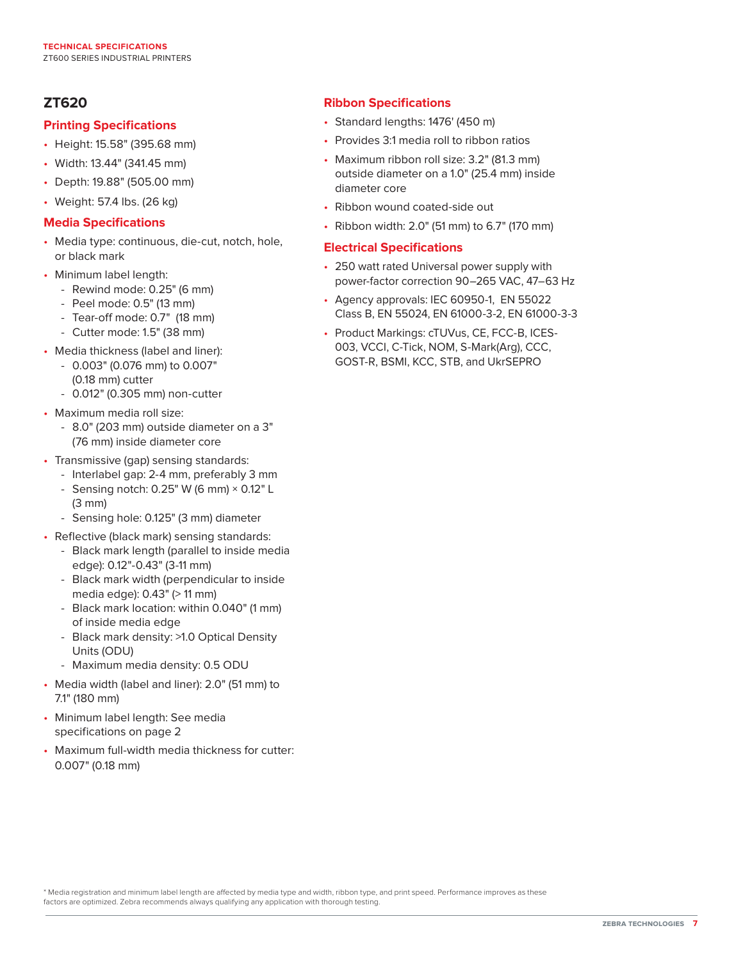## **ZT620**

#### **Printing Specifications**

- Height: 15.58" (395.68 mm)
- Width: 13.44" (341.45 mm)
- Depth: 19.88" (505.00 mm)
- Weight: 57.4 lbs. (26 kg)

#### **Media Specifications**

- Media type: continuous, die-cut, notch, hole, or black mark
- Minimum label length:
	- Rewind mode: 0.25" (6 mm)
	- Peel mode: 0.5" (13 mm)
	- Tear-off mode: 0.7" (18 mm)
	- Cutter mode: 1.5" (38 mm)
- Media thickness (label and liner):
	- 0.003" (0.076 mm) to 0.007" (0.18 mm) cutter
	- 0.012" (0.305 mm) non-cutter
- Maximum media roll size:
	- 8.0" (203 mm) outside diameter on a 3" (76 mm) inside diameter core
- Transmissive (gap) sensing standards:
	- Interlabel gap: 2-4 mm, preferably 3 mm
	- Sensing notch:  $0.25$ " W (6 mm)  $\times$  0.12" L (3 mm)
	- Sensing hole: 0.125" (3 mm) diameter
- Reflective (black mark) sensing standards:
	- Black mark length (parallel to inside media edge): 0.12"-0.43" (3-11 mm)
	- Black mark width (perpendicular to inside media edge): 0.43" (> 11 mm)
	- Black mark location: within 0.040" (1 mm) of inside media edge
	- Black mark density: >1.0 Optical Density Units (ODU)
	- Maximum media density: 0.5 ODU
- Media width (label and liner): 2.0" (51 mm) to 7.1" (180 mm)
- Minimum label length: See media specifications on page 2
- Maximum full-width media thickness for cutter: 0.007" (0.18 mm)

### **Ribbon Specifications**

- Standard lengths: 1476' (450 m)
- Provides 3:1 media roll to ribbon ratios
- Maximum ribbon roll size: 3.2" (81.3 mm) outside diameter on a 1.0" (25.4 mm) inside diameter core
- Ribbon wound coated-side out
- Ribbon width: 2.0" (51 mm) to 6.7" (170 mm)

#### **Electrical Specifications**

- 250 watt rated Universal power supply with power-factor correction 90–265 VAC, 47–63 Hz
- Agency approvals: IEC 60950-1, EN 55022 Class B, EN 55024, EN 61000-3-2, EN 61000-3-3
- Product Markings: cTUVus, CE, FCC-B, ICES-003, VCCI, C-Tick, NOM, S-Mark(Arg), CCC, GOST-R, BSMI, KCC, STB, and UkrSEPRO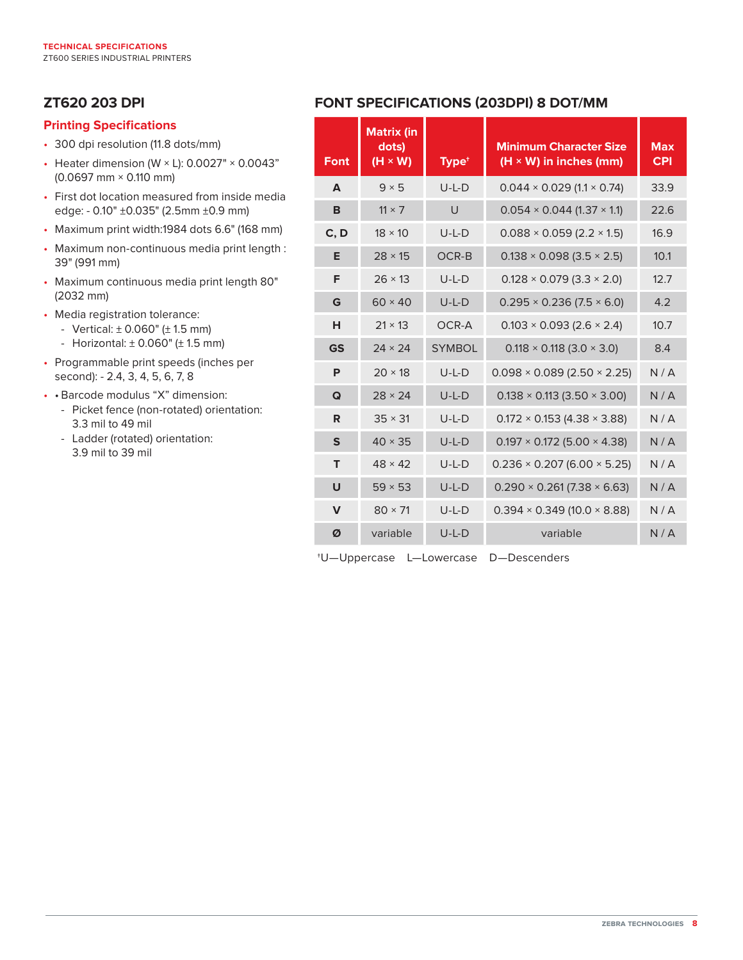# **ZT620 203 DPI**

#### **Printing Specifications**

- 300 dpi resolution (11.8 dots/mm)
- Heater dimension (W  $\times$  L): 0.0027"  $\times$  0.0043" (0.0697 mm × 0.110 mm)
- First dot location measured from inside media edge: - 0.10" ±0.035" (2.5mm ±0.9 mm)
- Maximum print width:1984 dots 6.6" (168 mm)
- Maximum non-continuous media print length : 39" (991 mm)
- Maximum continuous media print length 80" (2032 mm)
- Media registration tolerance:
	- Vertical:  $\pm$  0.060" ( $\pm$  1.5 mm)
	- Horizontal:  $\pm$  0.060" ( $\pm$  1.5 mm)
- Programmable print speeds (inches per second): - 2.4, 3, 4, 5, 6, 7, 8
- • Barcode modulus "X" dimension:
	- Picket fence (non-rotated) orientation: 3.3 mil to 49 mil
	- Ladder (rotated) orientation: 3.9 mil to 39 mil

# **FONT SPECIFICATIONS (203DPI) 8 DOT/MM**

| <b>Font</b>  | <b>Matrix (in</b><br>dots)<br>$(H \times W)$ | Type <sup>+</sup> | <b>Minimum Character Size</b><br>$(H \times W)$ in inches (mm) | <b>Max</b><br><b>CPI</b> |
|--------------|----------------------------------------------|-------------------|----------------------------------------------------------------|--------------------------|
| A            | $9 \times 5$                                 | $U-L-D$           | $0.044 \times 0.029$ (1.1 $\times$ 0.74)                       | 33.9                     |
| B            | $11 \times 7$                                | $\cup$            | $0.054 \times 0.044$ (1.37 $\times$ 1.1)                       | 22.6                     |
| C, D         | $18 \times 10$                               | $U-L-D$           | $0.088 \times 0.059$ (2.2 $\times$ 1.5)                        | 16.9                     |
| Е            | $28 \times 15$                               | OCR-B             | $0.138 \times 0.098$ (3.5 $\times$ 2.5)                        | 10.1                     |
| F            | $26 \times 13$                               | $U-L-D$           | $0.128 \times 0.079$ (3.3 $\times$ 2.0)                        | 12.7                     |
| G            | $60 \times 40$                               | $U-L-D$           | $0.295 \times 0.236$ (7.5 $\times$ 6.0)                        | 4.2                      |
| н            | $21 \times 13$                               | OCR-A             | $0.103 \times 0.093$ (2.6 $\times$ 2.4)                        | 10.7                     |
| <b>GS</b>    | $24 \times 24$                               | <b>SYMBOL</b>     | $0.118 \times 0.118$ (3.0 $\times$ 3.0)                        | 8.4                      |
| P            | $20 \times 18$                               | $U-L-D$           | $0.098 \times 0.089$ (2.50 $\times$ 2.25)                      | N/A                      |
| Q            | $28 \times 24$                               | $U-L-D$           | $0.138 \times 0.113$ (3.50 $\times$ 3.00)                      | N/A                      |
| R            | $35 \times 31$                               | $U-L-D$           | $0.172 \times 0.153$ (4.38 $\times$ 3.88)                      | N/A                      |
| $\mathbf{s}$ | $40 \times 35$                               | $U-L-D$           | $0.197 \times 0.172$ (5.00 $\times$ 4.38)                      | N/A                      |
| т            | $48 \times 42$                               | $U-L-D$           | $0.236 \times 0.207 (6.00 \times 5.25)$                        | N/A                      |
| U            | $59 \times 53$                               | $U-L-D$           | $0.290 \times 0.261 (7.38 \times 6.63)$                        | N/A                      |
| $\mathbf v$  | $80 \times 71$                               | $U-L-D$           | $0.394 \times 0.349$ (10.0 $\times$ 8.88)                      | N/A                      |
| Ø            | variable                                     | $U-L-D$           | variable                                                       | N/A                      |

†U—Uppercase L—Lowercase D—Descenders